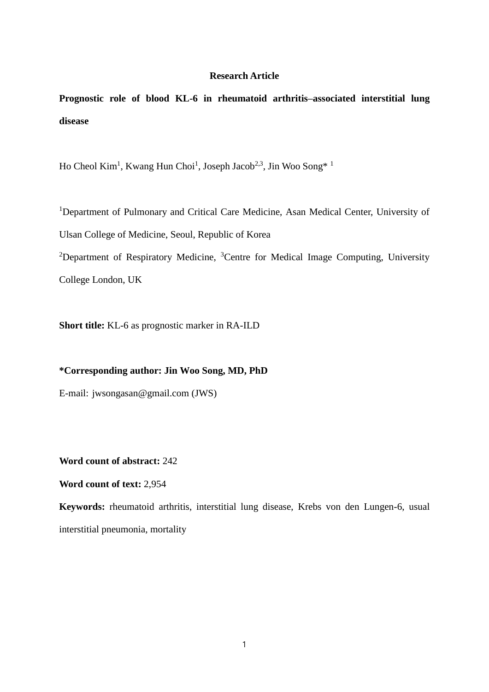#### **Research Article**

**Prognostic role of blood KL-6 in rheumatoid arthritis–associated interstitial lung disease**

Ho Cheol Kim<sup>1</sup>, Kwang Hun Choi<sup>1</sup>, Joseph Jacob<sup>2,3</sup>, Jin Woo Song<sup>\*</sup><sup>1</sup>

<sup>1</sup>Department of Pulmonary and Critical Care Medicine, Asan Medical Center, University of Ulsan College of Medicine, Seoul, Republic of Korea

<sup>2</sup>Department of Respiratory Medicine, <sup>3</sup>Centre for Medical Image Computing, University College London, UK

**Short title:** KL-6 as prognostic marker in RA-ILD

**\*Corresponding author: Jin Woo Song, MD, PhD** 

E-mail: jwsongasan@gmail.com (JWS)

**Word count of abstract:** 242

**Word count of text:** 2,954

**Keywords:** rheumatoid arthritis, interstitial lung disease, Krebs von den Lungen-6, usual interstitial pneumonia, mortality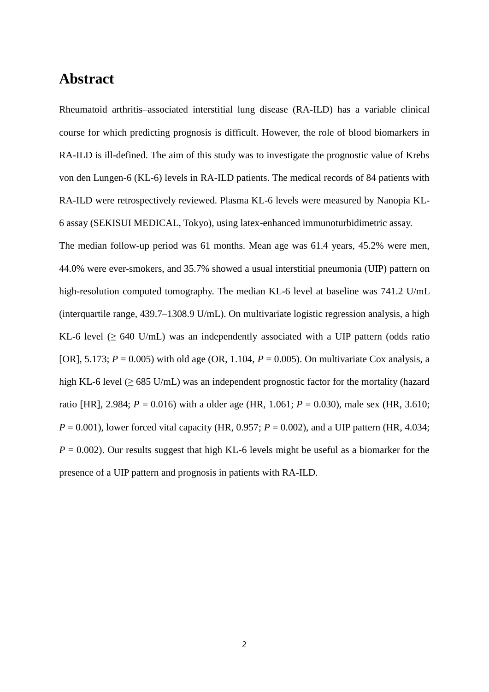# **Abstract**

Rheumatoid arthritis–associated interstitial lung disease (RA-ILD) has a variable clinical course for which predicting prognosis is difficult. However, the role of blood biomarkers in RA-ILD is ill-defined. The aim of this study was to investigate the prognostic value of Krebs von den Lungen-6 (KL-6) levels in RA-ILD patients. The medical records of 84 patients with RA-ILD were retrospectively reviewed. Plasma KL-6 levels were measured by Nanopia KL-6 assay (SEKISUI MEDICAL, Tokyo), using latex-enhanced immunoturbidimetric assay.

The median follow-up period was 61 months. Mean age was 61.4 years, 45.2% were men, 44.0% were ever-smokers, and 35.7% showed a usual interstitial pneumonia (UIP) pattern on high-resolution computed tomography. The median KL-6 level at baseline was 741.2 U/mL (interquartile range, 439.7–1308.9 U/mL). On multivariate logistic regression analysis, a high KL-6 level  $(\geq 640 \text{ U/mL})$  was an independently associated with a UIP pattern (odds ratio [OR], 5.173;  $P = 0.005$ ) with old age (OR, 1.104,  $P = 0.005$ ). On multivariate Cox analysis, a high KL-6 level ( $\geq$  685 U/mL) was an independent prognostic factor for the mortality (hazard ratio [HR], 2.984;  $P = 0.016$ ) with a older age (HR, 1.061;  $P = 0.030$ ), male sex (HR, 3.610;  $P = 0.001$ ), lower forced vital capacity (HR, 0.957;  $P = 0.002$ ), and a UIP pattern (HR, 4.034;  $P = 0.002$ ). Our results suggest that high KL-6 levels might be useful as a biomarker for the presence of a UIP pattern and prognosis in patients with RA-ILD.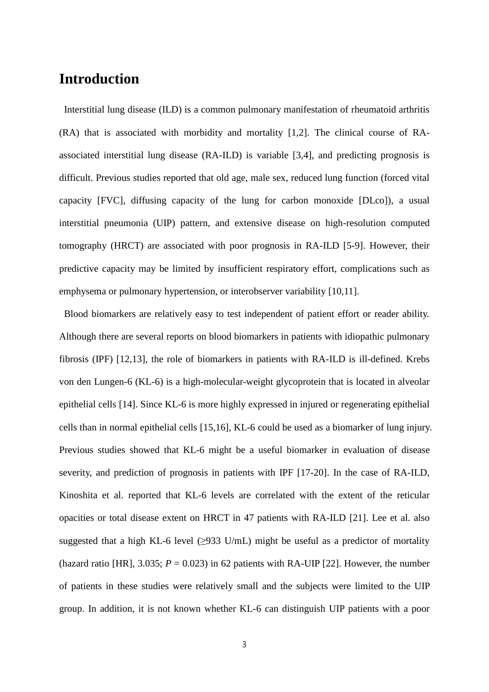# **Introduction**

Interstitial lung disease (ILD) is a common pulmonary manifestation of rheumatoid arthritis (RA) that is associated with morbidity and mortality [1,2]. The clinical course of RAassociated interstitial lung disease (RA-ILD) is variable [3,4], and predicting prognosis is difficult. Previous studies reported that old age, male sex, reduced lung function (forced vital capacity [FVC], diffusing capacity of the lung for carbon monoxide [DLco]), a usual interstitial pneumonia (UIP) pattern, and extensive disease on high-resolution computed tomography (HRCT) are associated with poor prognosis in RA-ILD [5-9]. However, their predictive capacity may be limited by insufficient respiratory effort, complications such as emphysema or pulmonary hypertension, or interobserver variability [10,11].

Blood biomarkers are relatively easy to test independent of patient effort or reader ability. Although there are several reports on blood biomarkers in patients with idiopathic pulmonary fibrosis (IPF) [12,13], the role of biomarkers in patients with RA-ILD is ill-defined. Krebs von den Lungen-6 (KL-6) is a high-molecular-weight glycoprotein that is located in alveolar epithelial cells [14]. Since KL-6 is more highly expressed in injured or regenerating epithelial cells than in normal epithelial cells [15,16], KL-6 could be used as a biomarker of lung injury. Previous studies showed that KL-6 might be a useful biomarker in evaluation of disease severity, and prediction of prognosis in patients with IPF [17-20]. In the case of RA-ILD, Kinoshita et al. reported that KL-6 levels are correlated with the extent of the reticular opacities or total disease extent on HRCT in 47 patients with RA-ILD [21]. Lee et al. also suggested that a high KL-6 level  $(\geq)$ 933 U/mL) might be useful as a predictor of mortality (hazard ratio [HR],  $3.035$ ;  $P = 0.023$ ) in 62 patients with RA-UIP [22]. However, the number of patients in these studies were relatively small and the subjects were limited to the UIP group. In addition, it is not known whether KL-6 can distinguish UIP patients with a poor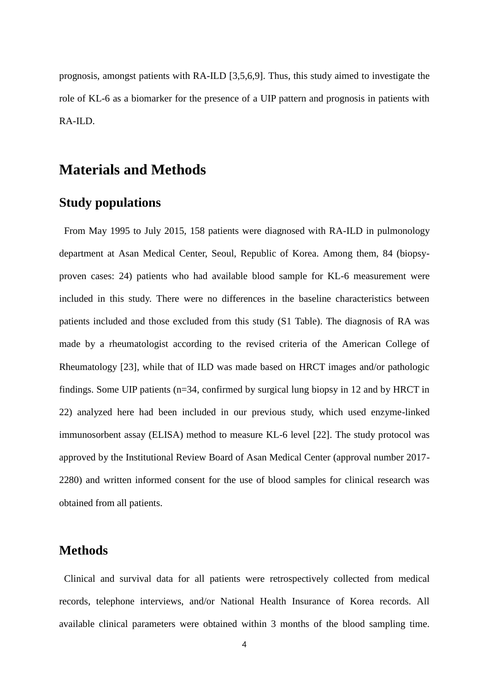prognosis, amongst patients with RA-ILD [3,5,6,9]. Thus, this study aimed to investigate the role of KL-6 as a biomarker for the presence of a UIP pattern and prognosis in patients with RA-ILD.

## **Materials and Methods**

### **Study populations**

From May 1995 to July 2015, 158 patients were diagnosed with RA-ILD in pulmonology department at Asan Medical Center, Seoul, Republic of Korea. Among them, 84 (biopsyproven cases: 24) patients who had available blood sample for KL-6 measurement were included in this study. There were no differences in the baseline characteristics between patients included and those excluded from this study (S1 Table). The diagnosis of RA was made by a rheumatologist according to the revised criteria of the American College of Rheumatology [23], while that of ILD was made based on HRCT images and/or pathologic findings. Some UIP patients (n=34, confirmed by surgical lung biopsy in 12 and by HRCT in 22) analyzed here had been included in our previous study, which used enzyme-linked immunosorbent assay (ELISA) method to measure KL-6 level [22]. The study protocol was approved by the Institutional Review Board of Asan Medical Center (approval number 2017- 2280) and written informed consent for the use of blood samples for clinical research was obtained from all patients.

#### **Methods**

Clinical and survival data for all patients were retrospectively collected from medical records, telephone interviews, and/or National Health Insurance of Korea records. All available clinical parameters were obtained within 3 months of the blood sampling time.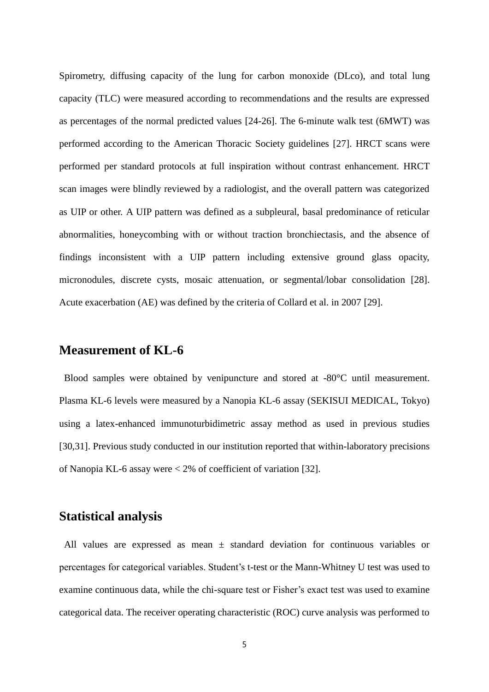Spirometry, diffusing capacity of the lung for carbon monoxide (DLco), and total lung capacity (TLC) were measured according to recommendations and the results are expressed as percentages of the normal predicted values [24-26]. The 6-minute walk test (6MWT) was performed according to the American Thoracic Society guidelines [27]. HRCT scans were performed per standard protocols at full inspiration without contrast enhancement. HRCT scan images were blindly reviewed by a radiologist, and the overall pattern was categorized as UIP or other. A UIP pattern was defined as a subpleural, basal predominance of reticular abnormalities, honeycombing with or without traction bronchiectasis, and the absence of findings inconsistent with a UIP pattern including extensive ground glass opacity, micronodules, discrete cysts, mosaic attenuation, or segmental/lobar consolidation [28]. Acute exacerbation (AE) was defined by the criteria of Collard et al. in 2007 [29].

#### **Measurement of KL-6**

Blood samples were obtained by venipuncture and stored at -80°C until measurement. Plasma KL-6 levels were measured by a Nanopia KL-6 assay (SEKISUI MEDICAL, Tokyo) using a latex-enhanced immunoturbidimetric assay method as used in previous studies [30,31]. Previous study conducted in our institution reported that within-laboratory precisions of Nanopia KL-6 assay were < 2% of coefficient of variation [32].

#### **Statistical analysis**

All values are expressed as mean ± standard deviation for continuous variables or percentages for categorical variables. Student's t-test or the Mann-Whitney U test was used to examine continuous data, while the chi-square test or Fisher's exact test was used to examine categorical data. The receiver operating characteristic (ROC) curve analysis was performed to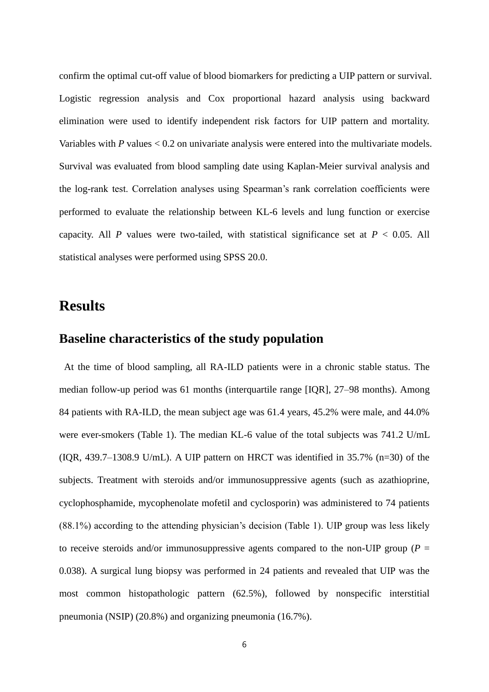confirm the optimal cut-off value of blood biomarkers for predicting a UIP pattern or survival. Logistic regression analysis and Cox proportional hazard analysis using backward elimination were used to identify independent risk factors for UIP pattern and mortality. Variables with *P* values < 0.2 on univariate analysis were entered into the multivariate models. Survival was evaluated from blood sampling date using Kaplan-Meier survival analysis and the log-rank test. Correlation analyses using Spearman's rank correlation coefficients were performed to evaluate the relationship between KL-6 levels and lung function or exercise capacity. All *P* values were two-tailed, with statistical significance set at  $P < 0.05$ . All statistical analyses were performed using SPSS 20.0.

# **Results**

### **Baseline characteristics of the study population**

At the time of blood sampling, all RA-ILD patients were in a chronic stable status. The median follow-up period was 61 months (interquartile range [IQR], 27–98 months). Among 84 patients with RA-ILD, the mean subject age was 61.4 years, 45.2% were male, and 44.0% were ever-smokers (Table 1). The median KL-6 value of the total subjects was 741.2 U/mL  $(IOR, 439.7-1308.9 U/mL)$ . A UIP pattern on HRCT was identified in 35.7%  $(n=30)$  of the subjects. Treatment with steroids and/or immunosuppressive agents (such as azathioprine, cyclophosphamide, mycophenolate mofetil and cyclosporin) was administered to 74 patients (88.1%) according to the attending physician's decision (Table 1). UIP group was less likely to receive steroids and/or immunosuppressive agents compared to the non-UIP group ( $P =$ 0.038). A surgical lung biopsy was performed in 24 patients and revealed that UIP was the most common histopathologic pattern (62.5%), followed by nonspecific interstitial pneumonia (NSIP) (20.8%) and organizing pneumonia (16.7%).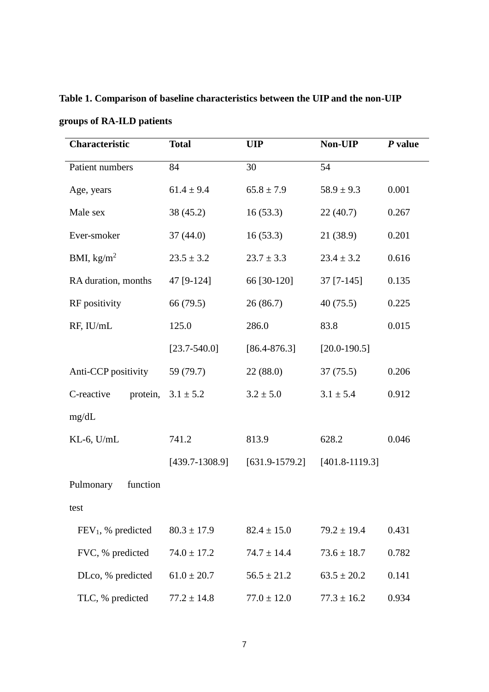| <b>Characteristic</b>  | <b>Total</b>     | <b>UIP</b>         | Non-UIP            | $P$ value |
|------------------------|------------------|--------------------|--------------------|-----------|
| Patient numbers        | 84               | 30                 | 54                 |           |
| Age, years             | $61.4 \pm 9.4$   | $65.8 \pm 7.9$     | $58.9 \pm 9.3$     | 0.001     |
| Male sex               | 38 (45.2)        | 16(53.3)           | 22(40.7)           | 0.267     |
| Ever-smoker            | 37(44.0)         | 16(53.3)           | 21 (38.9)          | 0.201     |
| BMI, $\text{kg/m}^2$   | $23.5 \pm 3.2$   | $23.7 \pm 3.3$     | $23.4 \pm 3.2$     | 0.616     |
| RA duration, months    | 47 [9-124]       | 66 [30-120]        | $37$ [7-145]       | 0.135     |
| RF positivity          | 66 (79.5)        | 26(86.7)           | 40(75.5)           | 0.225     |
| RF, IU/mL              | 125.0            | 286.0              | 83.8               | 0.015     |
|                        | $[23.7 - 540.0]$ | $[86.4 - 876.3]$   | $[20.0 - 190.5]$   |           |
| Anti-CCP positivity    | 59 (79.7)        | 22(88.0)           | 37(75.5)           | 0.206     |
| C-reactive<br>protein, | $3.1 \pm 5.2$    | $3.2 \pm 5.0$      | $3.1 \pm 5.4$      | 0.912     |
| mg/dL                  |                  |                    |                    |           |
| $KL-6$ , $U/mL$        | 741.2            | 813.9              | 628.2              | 0.046     |
|                        | $[439.7-1308.9]$ | $[631.9 - 1579.2]$ | $[401.8 - 1119.3]$ |           |
| Pulmonary<br>function  |                  |                    |                    |           |
| test                   |                  |                    |                    |           |
| $FEV1$ , % predicted   | $80.3 \pm 17.9$  | $82.4 \pm 15.0$    | $79.2 \pm 19.4$    | 0.431     |
| FVC, % predicted       | $74.0 \pm 17.2$  | $74.7 \pm 14.4$    | $73.6 \pm 18.7$    | 0.782     |
| DLco, % predicted      | $61.0 \pm 20.7$  | $56.5 \pm 21.2$    | $63.5 \pm 20.2$    | 0.141     |
| TLC, % predicted       | $77.2 \pm 14.8$  | $77.0 \pm 12.0$    | $77.3 \pm 16.2$    | 0.934     |

**Table 1. Comparison of baseline characteristics between the UIP and the non-UIP** 

**groups of RA-ILD patients**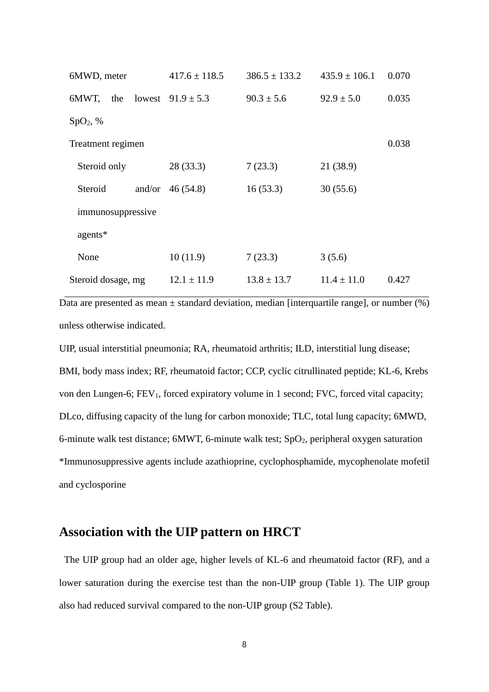| 6MWD, meter          | $417.6 \pm 118.5$     | $386.5 \pm 133.2$ | $435.9 \pm 106.1$ | 0.070 |
|----------------------|-----------------------|-------------------|-------------------|-------|
| 6MWT, the            | lowest $91.9 \pm 5.3$ | $90.3 \pm 5.6$    | $92.9 \pm 5.0$    | 0.035 |
| SpO <sub>2</sub> , % |                       |                   |                   |       |
| Treatment regimen    |                       |                   |                   | 0.038 |
| Steroid only         | 28(33.3)              | 7(23.3)           | 21 (38.9)         |       |
| Steroid              | and/or $46 (54.8)$    | 16(53.3)          | 30(55.6)          |       |
| immunosuppressive    |                       |                   |                   |       |
| agents*              |                       |                   |                   |       |
| None                 | 10(11.9)              | 7(23.3)           | 3(5.6)            |       |
| Steroid dosage, mg   | $12.1 \pm 11.9$       | $13.8 \pm 13.7$   | $11.4 \pm 11.0$   | 0.427 |

Data are presented as mean  $\pm$  standard deviation, median [interquartile range], or number (%) unless otherwise indicated.

UIP, usual interstitial pneumonia; RA, rheumatoid arthritis; ILD, interstitial lung disease; BMI, body mass index; RF, rheumatoid factor; CCP, cyclic citrullinated peptide; KL-6, Krebs von den Lungen-6; FEV<sub>1</sub>, forced expiratory volume in 1 second; FVC, forced vital capacity; DLco, diffusing capacity of the lung for carbon monoxide; TLC, total lung capacity; 6MWD, 6-minute walk test distance; 6MWT, 6-minute walk test; SpO2, peripheral oxygen saturation \*Immunosuppressive agents include azathioprine, cyclophosphamide, mycophenolate mofetil and cyclosporine

#### **Association with the UIP pattern on HRCT**

The UIP group had an older age, higher levels of KL-6 and rheumatoid factor (RF), and a lower saturation during the exercise test than the non-UIP group (Table 1). The UIP group also had reduced survival compared to the non-UIP group (S2 Table).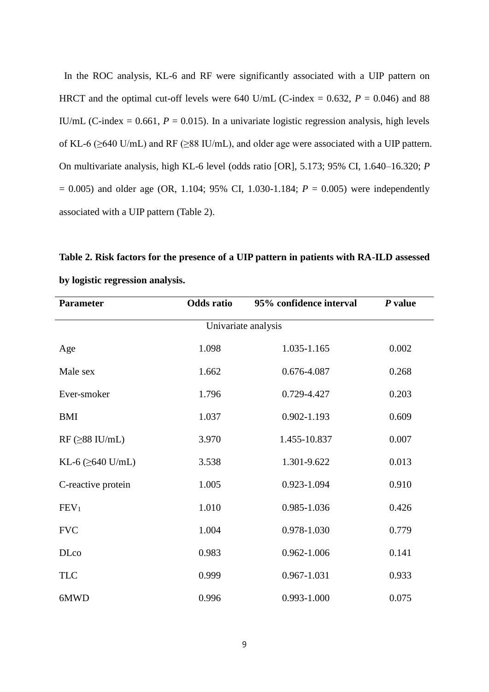In the ROC analysis, KL-6 and RF were significantly associated with a UIP pattern on HRCT and the optimal cut-off levels were 640 U/mL (C-index =  $0.632$ ,  $P = 0.046$ ) and 88 IU/mL (C-index =  $0.661$ ,  $P = 0.015$ ). In a univariate logistic regression analysis, high levels of KL-6 (≥640 U/mL) and RF (≥88 IU/mL), and older age were associated with a UIP pattern. On multivariate analysis, high KL-6 level (odds ratio [OR], 5.173; 95% CI, 1.640–16.320; *P* = 0.005) and older age (OR, 1.104; 95% CI, 1.030-1.184; *P* = 0.005) were independently associated with a UIP pattern (Table 2).

**Table 2. Risk factors for the presence of a UIP pattern in patients with RA-ILD assessed by logistic regression analysis.**

| <b>Parameter</b>        | <b>Odds</b> ratio | 95% confidence interval | $P$ value |  |
|-------------------------|-------------------|-------------------------|-----------|--|
|                         |                   | Univariate analysis     |           |  |
| Age                     | 1.098             | 1.035-1.165             | 0.002     |  |
| Male sex                | 1.662             | 0.676-4.087             | 0.268     |  |
| Ever-smoker             | 1.796             | 0.729-4.427             | 0.203     |  |
| BMI                     | 1.037             | $0.902 - 1.193$         | 0.609     |  |
| $RF$ ( $\geq$ 88 IU/mL) | 3.970             | 1.455-10.837            | 0.007     |  |
| KL-6 $(\geq 640$ U/mL)  | 3.538             | 1.301-9.622             | 0.013     |  |
| C-reactive protein      | 1.005             | 0.923-1.094             | 0.910     |  |
| FEV <sub>1</sub>        | 1.010             | 0.985-1.036             | 0.426     |  |
| <b>FVC</b>              | 1.004             | 0.978-1.030             | 0.779     |  |
| <b>DLco</b>             | 0.983             | 0.962-1.006             | 0.141     |  |
| <b>TLC</b>              | 0.999             | 0.967-1.031             | 0.933     |  |
| 6MWD                    | 0.996             | 0.993-1.000             | 0.075     |  |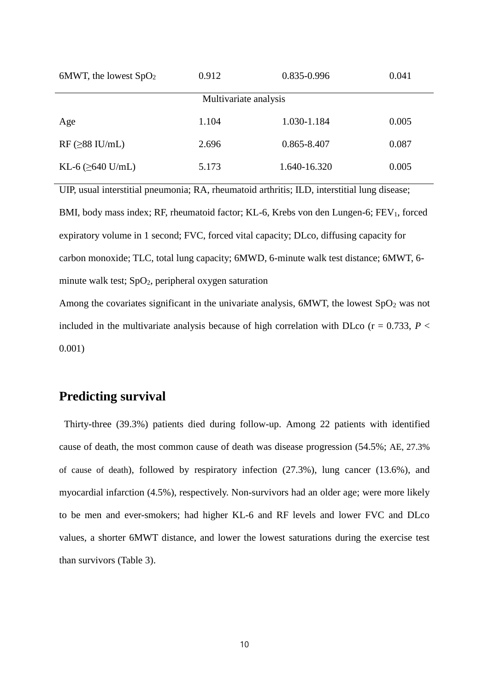| 6MWT, the lowest $SpO2$ | 0.912                 | 0.835-0.996  | 0.041 |
|-------------------------|-----------------------|--------------|-------|
|                         | Multivariate analysis |              |       |
| Age                     | 1.104                 | 1.030-1.184  | 0.005 |
| $RF$ ( $\geq$ 88 IU/mL) | 2.696                 | 0.865-8.407  | 0.087 |
| KL-6 $(\geq 640$ U/mL)  | 5.173                 | 1.640-16.320 | 0.005 |

UIP, usual interstitial pneumonia; RA, rheumatoid arthritis; ILD, interstitial lung disease; BMI, body mass index; RF, rheumatoid factor; KL-6, Krebs von den Lungen-6; FEV<sub>1</sub>, forced expiratory volume in 1 second; FVC, forced vital capacity; DLco, diffusing capacity for carbon monoxide; TLC, total lung capacity; 6MWD, 6-minute walk test distance; 6MWT, 6 minute walk test;  $SpO<sub>2</sub>$ , peripheral oxygen saturation

Among the covariates significant in the univariate analysis,  $6MWT$ , the lowest  $SpO<sub>2</sub>$  was not included in the multivariate analysis because of high correlation with DLco ( $r = 0.733$ ,  $P <$ 0.001)

### **Predicting survival**

Thirty-three (39.3%) patients died during follow-up. Among 22 patients with identified cause of death, the most common cause of death was disease progression (54.5%; AE, 27.3% of cause of death), followed by respiratory infection (27.3%), lung cancer (13.6%), and myocardial infarction (4.5%), respectively. Non-survivors had an older age; were more likely to be men and ever-smokers; had higher KL-6 and RF levels and lower FVC and DLco values, a shorter 6MWT distance, and lower the lowest saturations during the exercise test than survivors (Table 3).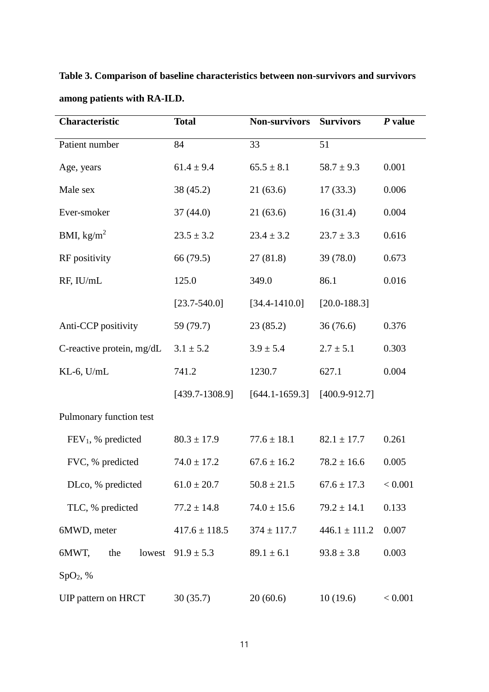**Table 3. Comparison of baseline characteristics between non-survivors and survivors among patients with RA-ILD.**

| <b>Characteristic</b>      | <b>Total</b>      | <b>Non-survivors</b> | <b>Survivors</b>  | $P$ value |
|----------------------------|-------------------|----------------------|-------------------|-----------|
| Patient number             | 84                | 33                   | 51                |           |
| Age, years                 | $61.4 \pm 9.4$    | $65.5 \pm 8.1$       | $58.7 \pm 9.3$    | 0.001     |
| Male sex                   | 38 (45.2)         | 21(63.6)             | 17(33.3)          | 0.006     |
| Ever-smoker                | 37(44.0)          | 21(63.6)             | 16(31.4)          | 0.004     |
| BMI, $\text{kg/m}^2$       | $23.5 \pm 3.2$    | $23.4 \pm 3.2$       | $23.7 \pm 3.3$    | 0.616     |
| RF positivity              | 66 (79.5)         | 27(81.8)             | 39 (78.0)         | 0.673     |
| RF, IU/mL                  | 125.0             | 349.0                | 86.1              | 0.016     |
|                            | $[23.7 - 540.0]$  | $[34.4 - 1410.0]$    | $[20.0 - 188.3]$  |           |
| Anti-CCP positivity        | 59 (79.7)         | 23(85.2)             | 36(76.6)          | 0.376     |
| C-reactive protein, mg/dL  | $3.1 \pm 5.2$     | $3.9 \pm 5.4$        | $2.7 \pm 5.1$     | 0.303     |
| $KL-6$ , $U/mL$            | 741.2             | 1230.7               | 627.1             | 0.004     |
|                            | $[439.7-1308.9]$  | $[644.1 - 1659.3]$   | $[400.9 - 912.7]$ |           |
| Pulmonary function test    |                   |                      |                   |           |
| $FEV1$ , % predicted       | $80.3 \pm 17.9$   | $77.6 \pm 18.1$      | $82.1 \pm 17.7$   | 0.261     |
| FVC, % predicted           | $74.0 \pm 17.2$   | $67.6 \pm 16.2$      | $78.2 \pm 16.6$   | 0.005     |
| DLco, % predicted          | $61.0 \pm 20.7$   | $50.8 \pm 21.5$      | $67.6 \pm 17.3$   | < 0.001   |
| TLC, % predicted           | $77.2 \pm 14.8$   | $74.0 \pm 15.6$      | $79.2 \pm 14.1$   | 0.133     |
| 6MWD, meter                | $417.6 \pm 118.5$ | $374 \pm 117.7$      | $446.1 \pm 111.2$ | 0.007     |
| 6MWT,<br>the<br>lowest     | $91.9 \pm 5.3$    | $89.1 \pm 6.1$       | $93.8 \pm 3.8$    | 0.003     |
| SpO <sub>2</sub> , %       |                   |                      |                   |           |
| <b>UIP</b> pattern on HRCT | 30(35.7)          | 20(60.6)             | 10(19.6)          | < 0.001   |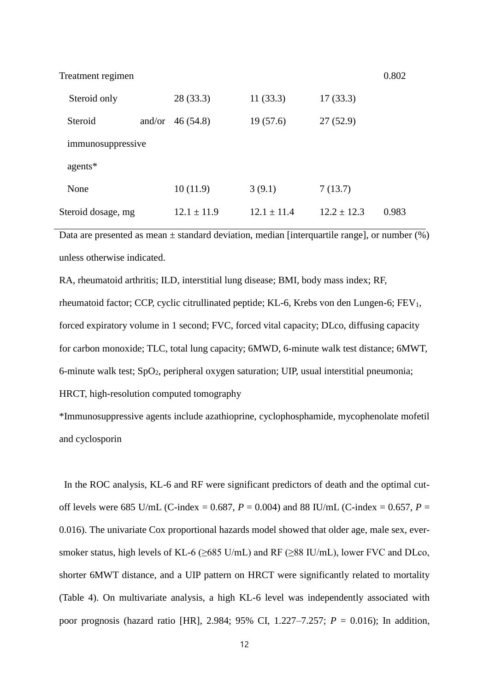Treatment regimen 0.802

| Steroid only       | 28 (33.3)       | 11(33.3)      | 17(33.3)      |       |
|--------------------|-----------------|---------------|---------------|-------|
| Steroid<br>and/or  | 46(54.8)        | 19(57.6)      | 27(52.9)      |       |
| immunosuppressive  |                 |               |               |       |
| agents*            |                 |               |               |       |
| None               | 10(11.9)        | 3(9.1)        | 7(13.7)       |       |
| Steroid dosage, mg | $12.1 \pm 11.9$ | $12.1 + 11.4$ | $12.2 + 12.3$ | 0.983 |

Data are presented as mean  $\pm$  standard deviation, median [interquartile range], or number  $(\%)$ unless otherwise indicated.

RA, rheumatoid arthritis; ILD, interstitial lung disease; BMI, body mass index; RF, rheumatoid factor; CCP, cyclic citrullinated peptide; KL-6, Krebs von den Lungen-6; FEV1, forced expiratory volume in 1 second; FVC, forced vital capacity; DLco, diffusing capacity for carbon monoxide; TLC, total lung capacity; 6MWD, 6-minute walk test distance; 6MWT, 6-minute walk test; SpO2, peripheral oxygen saturation; UIP, usual interstitial pneumonia; HRCT, high-resolution computed tomography

\*Immunosuppressive agents include azathioprine, cyclophosphamide, mycophenolate mofetil and cyclosporin

In the ROC analysis, KL-6 and RF were significant predictors of death and the optimal cutoff levels were 685 U/mL (C-index = 0.687,  $P = 0.004$ ) and 88 IU/mL (C-index = 0.657,  $P =$ 0.016). The univariate Cox proportional hazards model showed that older age, male sex, eversmoker status, high levels of KL-6 ( $\geq$ 685 U/mL) and RF ( $\geq$ 88 IU/mL), lower FVC and DLco, shorter 6MWT distance, and a UIP pattern on HRCT were significantly related to mortality (Table 4). On multivariate analysis, a high KL-6 level was independently associated with poor prognosis (hazard ratio [HR], 2.984; 95% CI, 1.227–7.257; *P* = 0.016); In addition,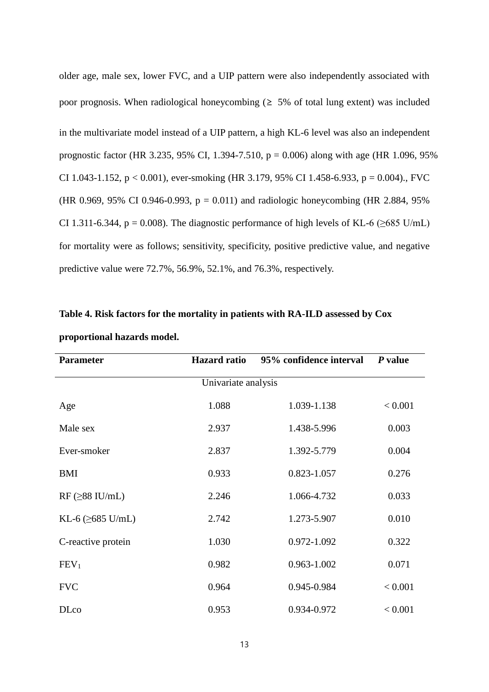older age, male sex, lower FVC, and a UIP pattern were also independently associated with poor prognosis. When radiological honeycombing  $(≥ 5% 0f$  total lung extent) was included in the multivariate model instead of a UIP pattern, a high KL-6 level was also an independent prognostic factor (HR 3.235, 95% CI, 1.394-7.510, p = 0.006) along with age (HR 1.096, 95% CI 1.043-1.152,  $p < 0.001$ ), ever-smoking (HR 3.179, 95% CI 1.458-6.933,  $p = 0.004$ )., FVC (HR 0.969, 95% CI 0.946-0.993,  $p = 0.011$ ) and radiologic honeycombing (HR 2.884, 95%) CI 1.311-6.344, p = 0.008). The diagnostic performance of high levels of KL-6 ( $\geq$ 685 U/mL) for mortality were as follows; sensitivity, specificity, positive predictive value, and negative predictive value were 72.7%, 56.9%, 52.1%, and 76.3%, respectively.

| <b>Parameter</b>               | <b>Hazard</b> ratio | 95% confidence interval | $P$ value |
|--------------------------------|---------------------|-------------------------|-----------|
|                                | Univariate analysis |                         |           |
| Age                            | 1.088               | 1.039-1.138             | < 0.001   |
| Male sex                       | 2.937               | 1.438-5.996             | 0.003     |
| Ever-smoker                    | 2.837               | 1.392-5.779             | 0.004     |
| <b>BMI</b>                     | 0.933               | 0.823-1.057             | 0.276     |
| $RF$ ( $\geq$ 88 IU/mL)        | 2.246               | 1.066-4.732             | 0.033     |
| KL-6 $(\geq 685 \text{ U/mL})$ | 2.742               | 1.273-5.907             | 0.010     |
| C-reactive protein             | 1.030               | 0.972-1.092             | 0.322     |
| FEV <sub>1</sub>               | 0.982               | 0.963-1.002             | 0.071     |
| <b>FVC</b>                     | 0.964               | 0.945-0.984             | < 0.001   |
| <b>DLco</b>                    | 0.953               | 0.934-0.972             | < 0.001   |

**Table 4. Risk factors for the mortality in patients with RA-ILD assessed by Cox proportional hazards model.**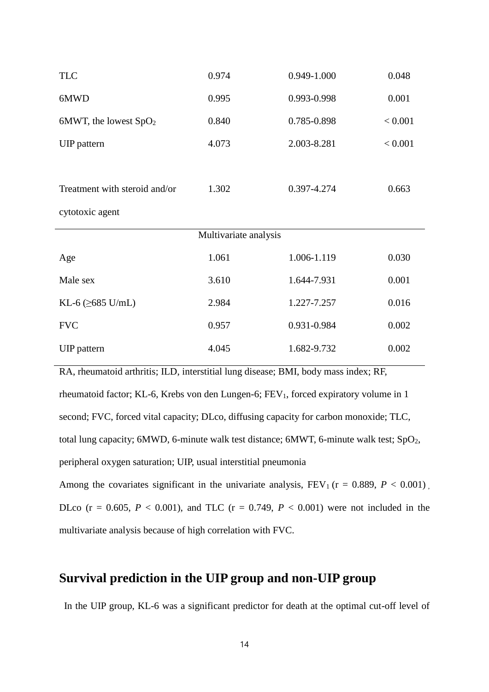| <b>TLC</b>                     | 0.974                 | 0.949-1.000 | 0.048   |
|--------------------------------|-----------------------|-------------|---------|
| 6MWD                           | 0.995                 | 0.993-0.998 | 0.001   |
| 6MWT, the lowest $SpO2$        | 0.840                 | 0.785-0.898 | < 0.001 |
| <b>UIP</b> pattern             | 4.073                 | 2.003-8.281 | < 0.001 |
|                                |                       |             |         |
| Treatment with steroid and/or  | 1.302                 | 0.397-4.274 | 0.663   |
| cytotoxic agent                |                       |             |         |
|                                |                       |             |         |
|                                | Multivariate analysis |             |         |
| Age                            | 1.061                 | 1.006-1.119 | 0.030   |
| Male sex                       | 3.610                 | 1.644-7.931 | 0.001   |
| KL-6 $(\geq 685 \text{ U/mL})$ | 2.984                 | 1.227-7.257 | 0.016   |
| <b>FVC</b>                     | 0.957                 | 0.931-0.984 | 0.002   |

RA, rheumatoid arthritis; ILD, interstitial lung disease; BMI, body mass index; RF, rheumatoid factor; KL-6, Krebs von den Lungen-6; FEV<sub>1</sub>, forced expiratory volume in 1 second; FVC, forced vital capacity; DLco, diffusing capacity for carbon monoxide; TLC, total lung capacity; 6MWD, 6-minute walk test distance; 6MWT, 6-minute walk test; SpO<sub>2</sub>, peripheral oxygen saturation; UIP, usual interstitial pneumonia Among the covariates significant in the univariate analysis,  $FEV_1$  ( $r = 0.889$ ,  $P < 0.001$ ) DLco (r = 0.605,  $P < 0.001$ ), and TLC (r = 0.749,  $P < 0.001$ ) were not included in the

multivariate analysis because of high correlation with FVC.

### **Survival prediction in the UIP group and non-UIP group**

In the UIP group, KL-6 was a significant predictor for death at the optimal cut-off level of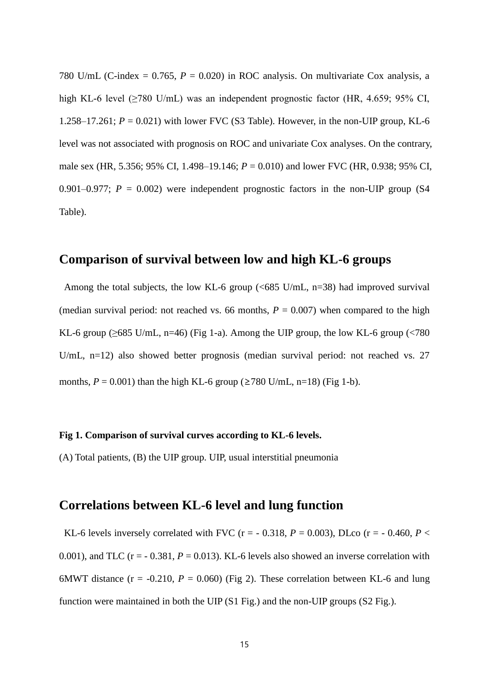780 U/mL (C-index =  $0.765$ ,  $P = 0.020$ ) in ROC analysis. On multivariate Cox analysis, a high KL-6 level (>780 U/mL) was an independent prognostic factor (HR, 4.659; 95% CI, 1.258–17.261;  $P = 0.021$ ) with lower FVC (S3 Table). However, in the non-UIP group, KL-6 level was not associated with prognosis on ROC and univariate Cox analyses. On the contrary, male sex (HR, 5.356; 95% CI, 1.498–19.146; *P* = 0.010) and lower FVC (HR, 0.938; 95% CI, 0.901–0.977;  $P = 0.002$ ) were independent prognostic factors in the non-UIP group (S4) Table).

#### **Comparison of survival between low and high KL-6 groups**

Among the total subjects, the low KL-6 group (<685 U/mL, n=38) had improved survival (median survival period: not reached vs. 66 months,  $P = 0.007$ ) when compared to the high KL-6 group ( $\geq$ 685 U/mL, n=46) (Fig 1-a). Among the UIP group, the low KL-6 group (<780 U/mL, n=12) also showed better prognosis (median survival period: not reached vs. 27 months,  $P = 0.001$ ) than the high KL-6 group ( $\geq 780$  U/mL, n=18) (Fig 1-b).

#### **Fig 1. Comparison of survival curves according to KL-6 levels.**

(A) Total patients, (B) the UIP group. UIP, usual interstitial pneumonia

#### **Correlations between KL-6 level and lung function**

KL-6 levels inversely correlated with FVC ( $r = -0.318$ ,  $P = 0.003$ ), DLco ( $r = -0.460$ ,  $P <$ 0.001), and TLC ( $r = -0.381$ ,  $P = 0.013$ ). KL-6 levels also showed an inverse correlation with 6MWT distance  $(r = -0.210, P = 0.060)$  (Fig 2). These correlation between KL-6 and lung function were maintained in both the UIP (S1 Fig.) and the non-UIP groups (S2 Fig.).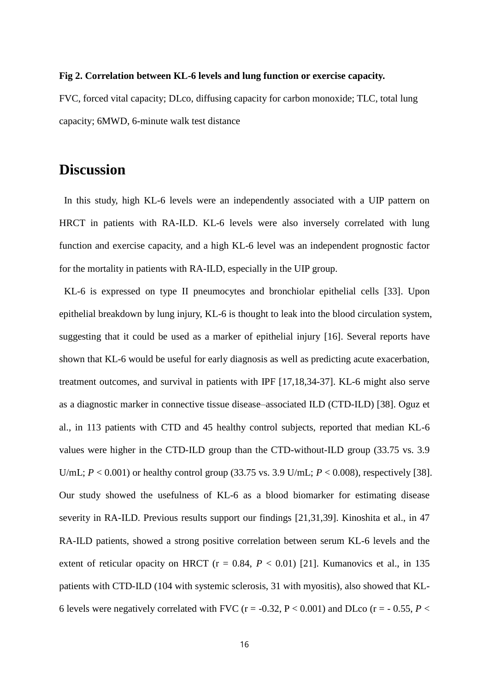#### **Fig 2. Correlation between KL-6 levels and lung function or exercise capacity.**

FVC, forced vital capacity; DLco, diffusing capacity for carbon monoxide; TLC, total lung capacity; 6MWD, 6-minute walk test distance

## **Discussion**

In this study, high KL-6 levels were an independently associated with a UIP pattern on HRCT in patients with RA-ILD. KL-6 levels were also inversely correlated with lung function and exercise capacity, and a high KL-6 level was an independent prognostic factor for the mortality in patients with RA-ILD, especially in the UIP group.

KL-6 is expressed on type II pneumocytes and bronchiolar epithelial cells [33]. Upon epithelial breakdown by lung injury, KL-6 is thought to leak into the blood circulation system, suggesting that it could be used as a marker of epithelial injury [16]. Several reports have shown that KL-6 would be useful for early diagnosis as well as predicting acute exacerbation, treatment outcomes, and survival in patients with IPF [17,18,34-37]. KL-6 might also serve as a diagnostic marker in connective tissue disease–associated ILD (CTD-ILD) [38]. Oguz et al., in 113 patients with CTD and 45 healthy control subjects, reported that median KL-6 values were higher in the CTD-ILD group than the CTD-without-ILD group (33.75 vs. 3.9 U/mL; *P* < 0.001) or healthy control group (33.75 vs. 3.9 U/mL; *P* < 0.008), respectively [38]. Our study showed the usefulness of KL-6 as a blood biomarker for estimating disease severity in RA-ILD. Previous results support our findings [21,31,39]. Kinoshita et al., in 47 RA-ILD patients, showed a strong positive correlation between serum KL-6 levels and the extent of reticular opacity on HRCT ( $r = 0.84$ ,  $P < 0.01$ ) [21]. Kumanovics et al., in 135 patients with CTD-ILD (104 with systemic sclerosis, 31 with myositis), also showed that KL-6 levels were negatively correlated with FVC ( $r = -0.32$ ,  $P < 0.001$ ) and DLco ( $r = -0.55$ ,  $P <$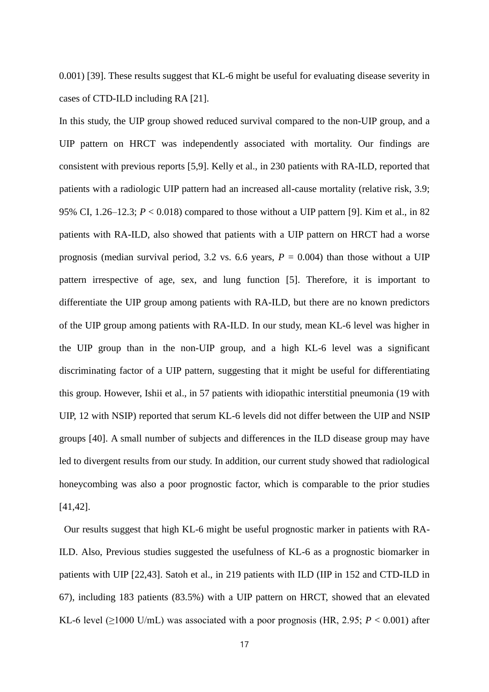0.001) [39]. These results suggest that KL-6 might be useful for evaluating disease severity in cases of CTD-ILD including RA [21].

In this study, the UIP group showed reduced survival compared to the non-UIP group, and a UIP pattern on HRCT was independently associated with mortality. Our findings are consistent with previous reports [5,9]. Kelly et al., in 230 patients with RA-ILD, reported that patients with a radiologic UIP pattern had an increased all-cause mortality (relative risk, 3.9; 95% CI, 1.26–12.3; *P* < 0.018) compared to those without a UIP pattern [9]. Kim et al., in 82 patients with RA-ILD, also showed that patients with a UIP pattern on HRCT had a worse prognosis (median survival period, 3.2 vs. 6.6 years,  $P = 0.004$ ) than those without a UIP pattern irrespective of age, sex, and lung function [5]. Therefore, it is important to differentiate the UIP group among patients with RA-ILD, but there are no known predictors of the UIP group among patients with RA-ILD. In our study, mean KL-6 level was higher in the UIP group than in the non-UIP group, and a high KL-6 level was a significant discriminating factor of a UIP pattern, suggesting that it might be useful for differentiating this group. However, Ishii et al., in 57 patients with idiopathic interstitial pneumonia (19 with UIP, 12 with NSIP) reported that serum KL-6 levels did not differ between the UIP and NSIP groups [40]. A small number of subjects and differences in the ILD disease group may have led to divergent results from our study. In addition, our current study showed that radiological honeycombing was also a poor prognostic factor, which is comparable to the prior studies [41,42].

Our results suggest that high KL-6 might be useful prognostic marker in patients with RA-ILD. Also, Previous studies suggested the usefulness of KL-6 as a prognostic biomarker in patients with UIP [22,43]. Satoh et al., in 219 patients with ILD (IIP in 152 and CTD-ILD in 67), including 183 patients (83.5%) with a UIP pattern on HRCT, showed that an elevated KL-6 level  $(\geq 1000 \text{ U/mL})$  was associated with a poor prognosis (HR, 2.95;  $P < 0.001$ ) after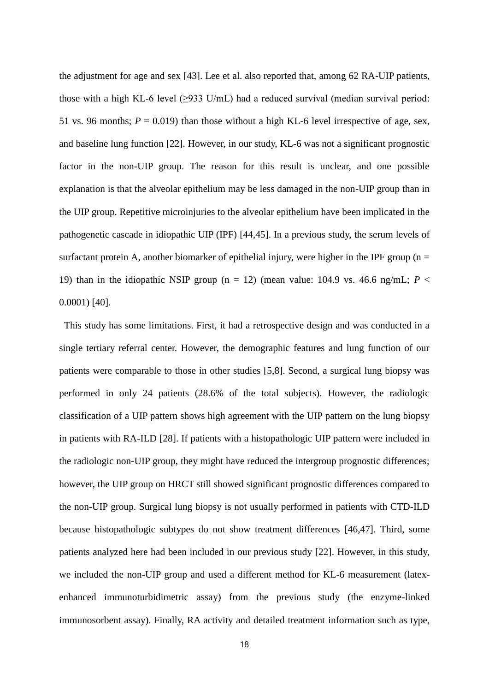the adjustment for age and sex [43]. Lee et al. also reported that, among 62 RA-UIP patients, those with a high KL-6 level  $(\geq)$ 33 U/mL) had a reduced survival (median survival period: 51 vs. 96 months;  $P = 0.019$ ) than those without a high KL-6 level irrespective of age, sex, and baseline lung function [22]. However, in our study, KL-6 was not a significant prognostic factor in the non-UIP group. The reason for this result is unclear, and one possible explanation is that the alveolar epithelium may be less damaged in the non-UIP group than in the UIP group. Repetitive microinjuries to the alveolar epithelium have been implicated in the pathogenetic cascade in idiopathic UIP (IPF) [44,45]. In a previous study, the serum levels of surfactant protein A, another biomarker of epithelial injury, were higher in the IPF group ( $n =$ 19) than in the idiopathic NSIP group (n = 12) (mean value:  $104.9$  vs.  $46.6$  ng/mL;  $P <$ 0.0001) [40].

This study has some limitations. First, it had a retrospective design and was conducted in a single tertiary referral center. However, the demographic features and lung function of our patients were comparable to those in other studies [5,8]. Second, a surgical lung biopsy was performed in only 24 patients (28.6% of the total subjects). However, the radiologic classification of a UIP pattern shows high agreement with the UIP pattern on the lung biopsy in patients with RA-ILD [28]. If patients with a histopathologic UIP pattern were included in the radiologic non-UIP group, they might have reduced the intergroup prognostic differences; however, the UIP group on HRCT still showed significant prognostic differences compared to the non-UIP group. Surgical lung biopsy is not usually performed in patients with CTD-ILD because histopathologic subtypes do not show treatment differences [46,47]. Third, some patients analyzed here had been included in our previous study [22]. However, in this study, we included the non-UIP group and used a different method for KL-6 measurement (latexenhanced immunoturbidimetric assay) from the previous study (the enzyme-linked immunosorbent assay). Finally, RA activity and detailed treatment information such as type,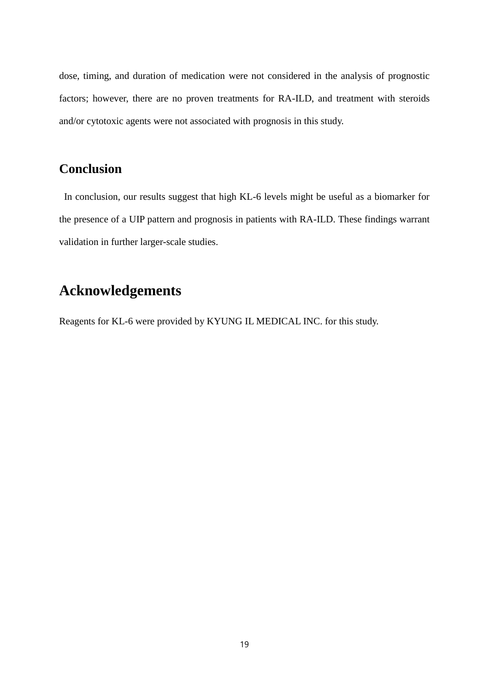dose, timing, and duration of medication were not considered in the analysis of prognostic factors; however, there are no proven treatments for RA-ILD, and treatment with steroids and/or cytotoxic agents were not associated with prognosis in this study.

## **Conclusion**

In conclusion, our results suggest that high KL-6 levels might be useful as a biomarker for the presence of a UIP pattern and prognosis in patients with RA-ILD. These findings warrant validation in further larger-scale studies.

# **Acknowledgements**

Reagents for KL-6 were provided by KYUNG IL MEDICAL INC. for this study.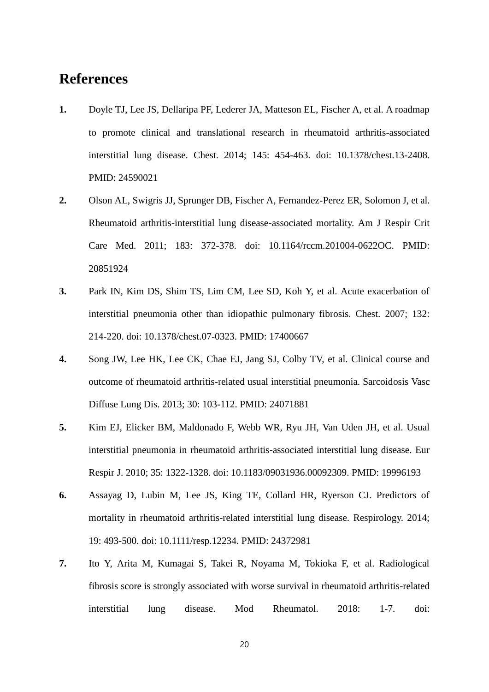# **References**

- **1.** Doyle TJ, Lee JS, Dellaripa PF, Lederer JA, Matteson EL, Fischer A, et al. A roadmap to promote clinical and translational research in rheumatoid arthritis-associated interstitial lung disease. Chest. 2014; 145: 454-463. doi: 10.1378/chest.13-2408. PMID: 24590021
- **2.** Olson AL, Swigris JJ, Sprunger DB, Fischer A, Fernandez-Perez ER, Solomon J, et al. Rheumatoid arthritis-interstitial lung disease-associated mortality. Am J Respir Crit Care Med. 2011; 183: 372-378. doi: 10.1164/rccm.201004-0622OC. PMID: 20851924
- **3.** Park IN, Kim DS, Shim TS, Lim CM, Lee SD, Koh Y, et al. Acute exacerbation of interstitial pneumonia other than idiopathic pulmonary fibrosis. Chest. 2007; 132: 214-220. doi: 10.1378/chest.07-0323. PMID: 17400667
- **4.** Song JW, Lee HK, Lee CK, Chae EJ, Jang SJ, Colby TV, et al. Clinical course and outcome of rheumatoid arthritis-related usual interstitial pneumonia. Sarcoidosis Vasc Diffuse Lung Dis. 2013; 30: 103-112. PMID: 24071881
- **5.** Kim EJ, Elicker BM, Maldonado F, Webb WR, Ryu JH, Van Uden JH, et al. Usual interstitial pneumonia in rheumatoid arthritis-associated interstitial lung disease. Eur Respir J. 2010; 35: 1322-1328. doi: 10.1183/09031936.00092309. PMID: 19996193
- **6.** Assayag D, Lubin M, Lee JS, King TE, Collard HR, Ryerson CJ. Predictors of mortality in rheumatoid arthritis-related interstitial lung disease. Respirology. 2014; 19: 493-500. doi: 10.1111/resp.12234. PMID: 24372981
- **7.** Ito Y, Arita M, Kumagai S, Takei R, Noyama M, Tokioka F, et al. Radiological fibrosis score is strongly associated with worse survival in rheumatoid arthritis-related interstitial lung disease. Mod Rheumatol. 2018: 1-7. doi: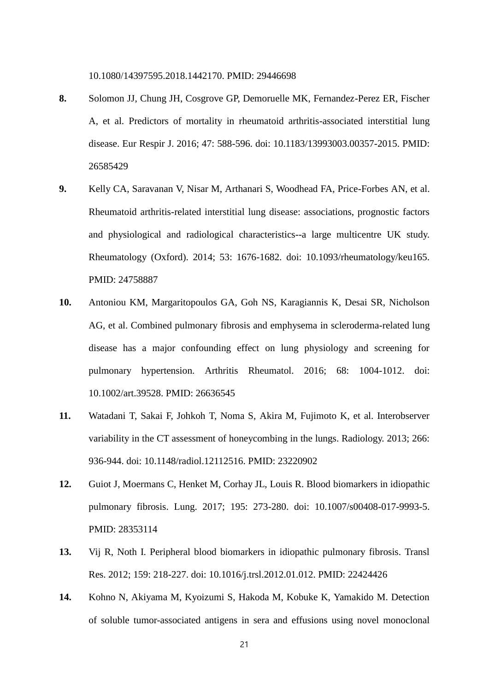10.1080/14397595.2018.1442170. PMID: 29446698

- **8.** Solomon JJ, Chung JH, Cosgrove GP, Demoruelle MK, Fernandez-Perez ER, Fischer A, et al. Predictors of mortality in rheumatoid arthritis-associated interstitial lung disease. Eur Respir J. 2016; 47: 588-596. doi: 10.1183/13993003.00357-2015. PMID: 26585429
- **9.** Kelly CA, Saravanan V, Nisar M, Arthanari S, Woodhead FA, Price-Forbes AN, et al. Rheumatoid arthritis-related interstitial lung disease: associations, prognostic factors and physiological and radiological characteristics--a large multicentre UK study. Rheumatology (Oxford). 2014; 53: 1676-1682. doi: 10.1093/rheumatology/keu165. PMID: 24758887
- **10.** Antoniou KM, Margaritopoulos GA, Goh NS, Karagiannis K, Desai SR, Nicholson AG, et al. Combined pulmonary fibrosis and emphysema in scleroderma-related lung disease has a major confounding effect on lung physiology and screening for pulmonary hypertension. Arthritis Rheumatol. 2016; 68: 1004-1012. doi: 10.1002/art.39528. PMID: 26636545
- **11.** Watadani T, Sakai F, Johkoh T, Noma S, Akira M, Fujimoto K, et al. Interobserver variability in the CT assessment of honeycombing in the lungs. Radiology. 2013; 266: 936-944. doi: 10.1148/radiol.12112516. PMID: 23220902
- **12.** Guiot J, Moermans C, Henket M, Corhay JL, Louis R. Blood biomarkers in idiopathic pulmonary fibrosis. Lung. 2017; 195: 273-280. doi: 10.1007/s00408-017-9993-5. PMID: 28353114
- **13.** Vij R, Noth I. Peripheral blood biomarkers in idiopathic pulmonary fibrosis. Transl Res. 2012; 159: 218-227. doi: 10.1016/j.trsl.2012.01.012. PMID: 22424426
- **14.** Kohno N, Akiyama M, Kyoizumi S, Hakoda M, Kobuke K, Yamakido M. Detection of soluble tumor-associated antigens in sera and effusions using novel monoclonal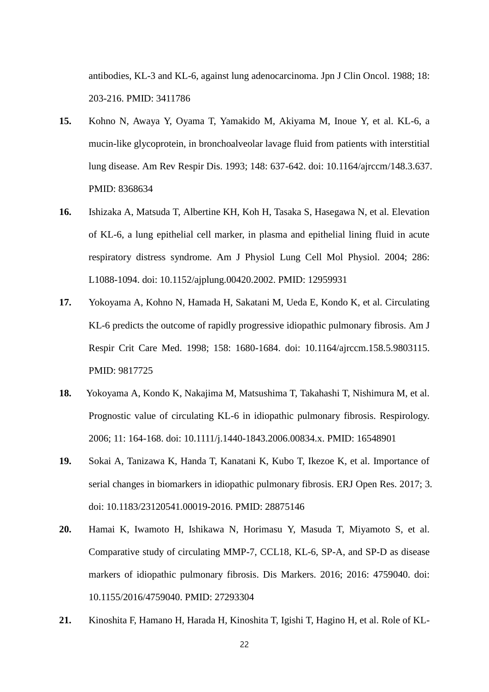antibodies, KL-3 and KL-6, against lung adenocarcinoma. Jpn J Clin Oncol. 1988; 18: 203-216. PMID: 3411786

- **15.** Kohno N, Awaya Y, Oyama T, Yamakido M, Akiyama M, Inoue Y, et al. KL-6, a mucin-like glycoprotein, in bronchoalveolar lavage fluid from patients with interstitial lung disease. Am Rev Respir Dis. 1993; 148: 637-642. doi: 10.1164/ajrccm/148.3.637. PMID: 8368634
- **16.** Ishizaka A, Matsuda T, Albertine KH, Koh H, Tasaka S, Hasegawa N, et al. Elevation of KL-6, a lung epithelial cell marker, in plasma and epithelial lining fluid in acute respiratory distress syndrome. Am J Physiol Lung Cell Mol Physiol. 2004; 286: L1088-1094. doi: 10.1152/ajplung.00420.2002. PMID: 12959931
- **17.** Yokoyama A, Kohno N, Hamada H, Sakatani M, Ueda E, Kondo K, et al. Circulating KL-6 predicts the outcome of rapidly progressive idiopathic pulmonary fibrosis. Am J Respir Crit Care Med. 1998; 158: 1680-1684. doi: 10.1164/ajrccm.158.5.9803115. PMID: 9817725
- **18.** Yokoyama A, Kondo K, Nakajima M, Matsushima T, Takahashi T, Nishimura M, et al. Prognostic value of circulating KL-6 in idiopathic pulmonary fibrosis. Respirology. 2006; 11: 164-168. doi: 10.1111/j.1440-1843.2006.00834.x. PMID: 16548901
- **19.** Sokai A, Tanizawa K, Handa T, Kanatani K, Kubo T, Ikezoe K, et al. Importance of serial changes in biomarkers in idiopathic pulmonary fibrosis. ERJ Open Res. 2017; 3. doi: 10.1183/23120541.00019-2016. PMID: 28875146
- **20.** Hamai K, Iwamoto H, Ishikawa N, Horimasu Y, Masuda T, Miyamoto S, et al. Comparative study of circulating MMP-7, CCL18, KL-6, SP-A, and SP-D as disease markers of idiopathic pulmonary fibrosis. Dis Markers. 2016; 2016: 4759040. doi: 10.1155/2016/4759040. PMID: 27293304
- **21.** Kinoshita F, Hamano H, Harada H, Kinoshita T, Igishi T, Hagino H, et al. Role of KL-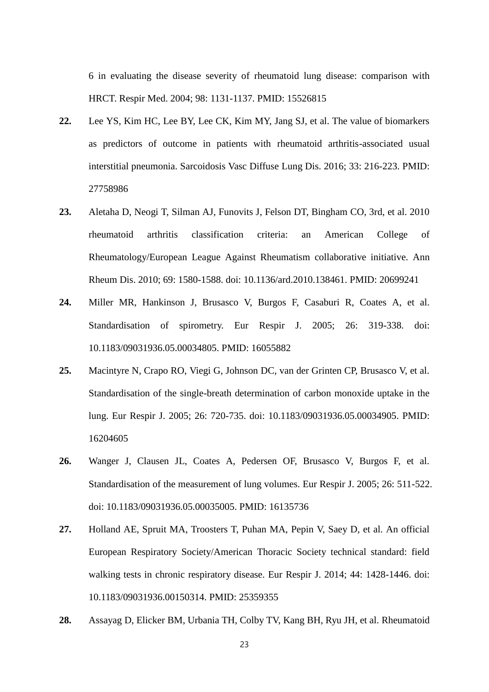6 in evaluating the disease severity of rheumatoid lung disease: comparison with HRCT. Respir Med. 2004; 98: 1131-1137. PMID: 15526815

- **22.** Lee YS, Kim HC, Lee BY, Lee CK, Kim MY, Jang SJ, et al. The value of biomarkers as predictors of outcome in patients with rheumatoid arthritis-associated usual interstitial pneumonia. Sarcoidosis Vasc Diffuse Lung Dis. 2016; 33: 216-223. PMID: 27758986
- **23.** Aletaha D, Neogi T, Silman AJ, Funovits J, Felson DT, Bingham CO, 3rd, et al. 2010 rheumatoid arthritis classification criteria: an American College of Rheumatology/European League Against Rheumatism collaborative initiative. Ann Rheum Dis. 2010; 69: 1580-1588. doi: 10.1136/ard.2010.138461. PMID: 20699241
- **24.** Miller MR, Hankinson J, Brusasco V, Burgos F, Casaburi R, Coates A, et al. Standardisation of spirometry. Eur Respir J. 2005; 26: 319-338. doi: 10.1183/09031936.05.00034805. PMID: 16055882
- **25.** Macintyre N, Crapo RO, Viegi G, Johnson DC, van der Grinten CP, Brusasco V, et al. Standardisation of the single-breath determination of carbon monoxide uptake in the lung. Eur Respir J. 2005; 26: 720-735. doi: 10.1183/09031936.05.00034905. PMID: 16204605
- **26.** Wanger J, Clausen JL, Coates A, Pedersen OF, Brusasco V, Burgos F, et al. Standardisation of the measurement of lung volumes. Eur Respir J. 2005; 26: 511-522. doi: 10.1183/09031936.05.00035005. PMID: 16135736
- **27.** Holland AE, Spruit MA, Troosters T, Puhan MA, Pepin V, Saey D, et al. An official European Respiratory Society/American Thoracic Society technical standard: field walking tests in chronic respiratory disease. Eur Respir J. 2014; 44: 1428-1446. doi: 10.1183/09031936.00150314. PMID: 25359355
- **28.** Assayag D, Elicker BM, Urbania TH, Colby TV, Kang BH, Ryu JH, et al. Rheumatoid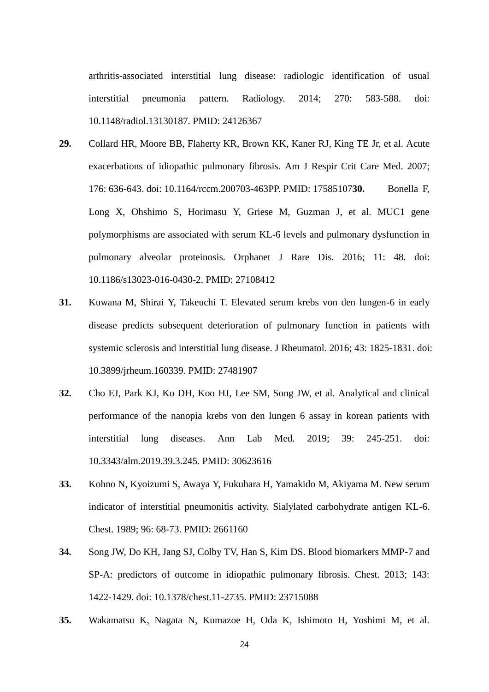arthritis-associated interstitial lung disease: radiologic identification of usual interstitial pneumonia pattern. Radiology. 2014; 270: 583-588. doi: 10.1148/radiol.13130187. PMID: 24126367

- **29.** Collard HR, Moore BB, Flaherty KR, Brown KK, Kaner RJ, King TE Jr, et al. Acute exacerbations of idiopathic pulmonary fibrosis. Am J Respir Crit Care Med. 2007; 176: 636-643. doi: 10.1164/rccm.200703-463PP. PMID: 17585107**30.** Bonella F, Long X, Ohshimo S, Horimasu Y, Griese M, Guzman J, et al. MUC1 gene polymorphisms are associated with serum KL-6 levels and pulmonary dysfunction in pulmonary alveolar proteinosis. Orphanet J Rare Dis. 2016; 11: 48. doi: 10.1186/s13023-016-0430-2. PMID: 27108412
- **31.** Kuwana M, Shirai Y, Takeuchi T. Elevated serum krebs von den lungen-6 in early disease predicts subsequent deterioration of pulmonary function in patients with systemic sclerosis and interstitial lung disease. J Rheumatol. 2016; 43: 1825-1831. doi: 10.3899/jrheum.160339. PMID: 27481907
- **32.** Cho EJ, Park KJ, Ko DH, Koo HJ, Lee SM, Song JW, et al. Analytical and clinical performance of the nanopia krebs von den lungen 6 assay in korean patients with interstitial lung diseases. Ann Lab Med. 2019; 39: 245-251. doi: 10.3343/alm.2019.39.3.245. PMID: 30623616
- **33.** Kohno N, Kyoizumi S, Awaya Y, Fukuhara H, Yamakido M, Akiyama M. New serum indicator of interstitial pneumonitis activity. Sialylated carbohydrate antigen KL-6. Chest. 1989; 96: 68-73. PMID: 2661160
- **34.** Song JW, Do KH, Jang SJ, Colby TV, Han S, Kim DS. Blood biomarkers MMP-7 and SP-A: predictors of outcome in idiopathic pulmonary fibrosis. Chest. 2013; 143: 1422-1429. doi: 10.1378/chest.11-2735. PMID: 23715088
- **35.** Wakamatsu K, Nagata N, Kumazoe H, Oda K, Ishimoto H, Yoshimi M, et al.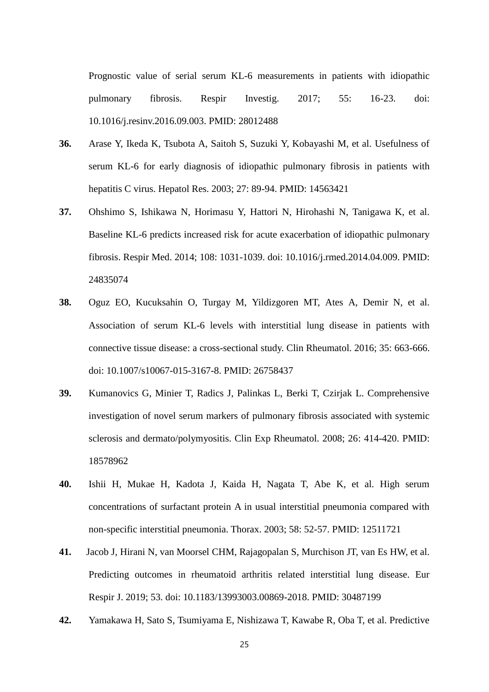Prognostic value of serial serum KL-6 measurements in patients with idiopathic pulmonary fibrosis. Respir Investig. 2017; 55: 16-23. doi: 10.1016/j.resinv.2016.09.003. PMID: 28012488

- **36.** Arase Y, Ikeda K, Tsubota A, Saitoh S, Suzuki Y, Kobayashi M, et al. Usefulness of serum KL-6 for early diagnosis of idiopathic pulmonary fibrosis in patients with hepatitis C virus. Hepatol Res. 2003; 27: 89-94. PMID: 14563421
- **37.** Ohshimo S, Ishikawa N, Horimasu Y, Hattori N, Hirohashi N, Tanigawa K, et al. Baseline KL-6 predicts increased risk for acute exacerbation of idiopathic pulmonary fibrosis. Respir Med. 2014; 108: 1031-1039. doi: 10.1016/j.rmed.2014.04.009. PMID: 24835074
- **38.** Oguz EO, Kucuksahin O, Turgay M, Yildizgoren MT, Ates A, Demir N, et al. Association of serum KL-6 levels with interstitial lung disease in patients with connective tissue disease: a cross-sectional study. Clin Rheumatol. 2016; 35: 663-666. doi: 10.1007/s10067-015-3167-8. PMID: 26758437
- **39.** Kumanovics G, Minier T, Radics J, Palinkas L, Berki T, Czirjak L. Comprehensive investigation of novel serum markers of pulmonary fibrosis associated with systemic sclerosis and dermato/polymyositis. Clin Exp Rheumatol. 2008; 26: 414-420. PMID: 18578962
- **40.** Ishii H, Mukae H, Kadota J, Kaida H, Nagata T, Abe K, et al. High serum concentrations of surfactant protein A in usual interstitial pneumonia compared with non-specific interstitial pneumonia. Thorax. 2003; 58: 52-57. PMID: 12511721
- **41.** Jacob J, Hirani N, van Moorsel CHM, Rajagopalan S, Murchison JT, van Es HW, et al. Predicting outcomes in rheumatoid arthritis related interstitial lung disease. Eur Respir J. 2019; 53. doi: 10.1183/13993003.00869-2018. PMID: 30487199
- **42.** Yamakawa H, Sato S, Tsumiyama E, Nishizawa T, Kawabe R, Oba T, et al. Predictive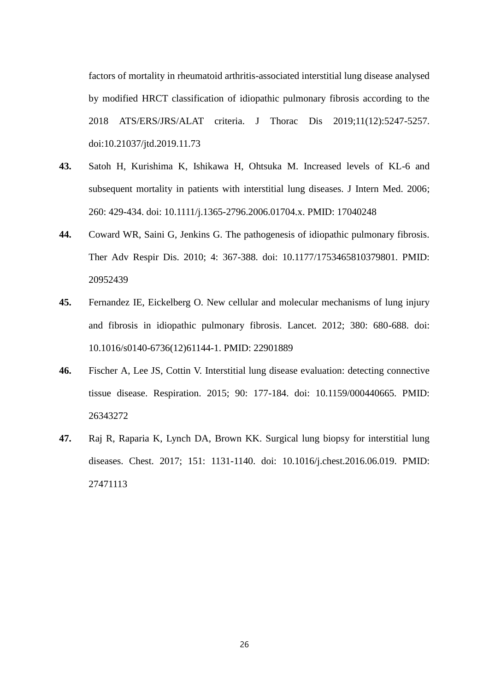factors of mortality in rheumatoid arthritis-associated interstitial lung disease analysed by modified HRCT classification of idiopathic pulmonary fibrosis according to the 2018 ATS/ERS/JRS/ALAT criteria. J Thorac Dis 2019;11(12):5247-5257. doi:10.21037/jtd.2019.11.73

- **43.** Satoh H, Kurishima K, Ishikawa H, Ohtsuka M. Increased levels of KL-6 and subsequent mortality in patients with interstitial lung diseases. J Intern Med. 2006; 260: 429-434. doi: 10.1111/j.1365-2796.2006.01704.x. PMID: 17040248
- **44.** Coward WR, Saini G, Jenkins G. The pathogenesis of idiopathic pulmonary fibrosis. Ther Adv Respir Dis. 2010; 4: 367-388. doi: 10.1177/1753465810379801. PMID: 20952439
- **45.** Fernandez IE, Eickelberg O. New cellular and molecular mechanisms of lung injury and fibrosis in idiopathic pulmonary fibrosis. Lancet. 2012; 380: 680-688. doi: 10.1016/s0140-6736(12)61144-1. PMID: 22901889
- **46.** Fischer A, Lee JS, Cottin V. Interstitial lung disease evaluation: detecting connective tissue disease. Respiration. 2015; 90: 177-184. doi: 10.1159/000440665. PMID: 26343272
- **47.** Raj R, Raparia K, Lynch DA, Brown KK. Surgical lung biopsy for interstitial lung diseases. Chest. 2017; 151: 1131-1140. doi: 10.1016/j.chest.2016.06.019. PMID: 27471113